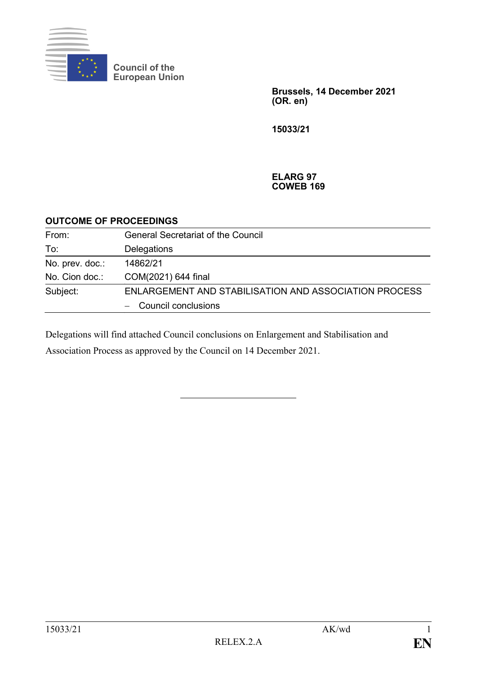

**Council of the European Union** 

> **Brussels, 14 December 2021 (OR. en)**

**15033/21** 

#### **ELARG 97 COWEB 169**

#### **OUTCOME OF PROCEEDINGS**

| From:           | <b>General Secretariat of the Council</b>             |
|-----------------|-------------------------------------------------------|
| To:             | Delegations                                           |
| No. prev. doc.: | 14862/21                                              |
| No. Cion doc.:  | COM(2021) 644 final                                   |
| Subject:        | ENLARGEMENT AND STABILISATION AND ASSOCIATION PROCESS |
|                 | $-$ Council conclusions                               |

Delegations will find attached Council conclusions on Enlargement and Stabilisation and Association Process as approved by the Council on 14 December 2021.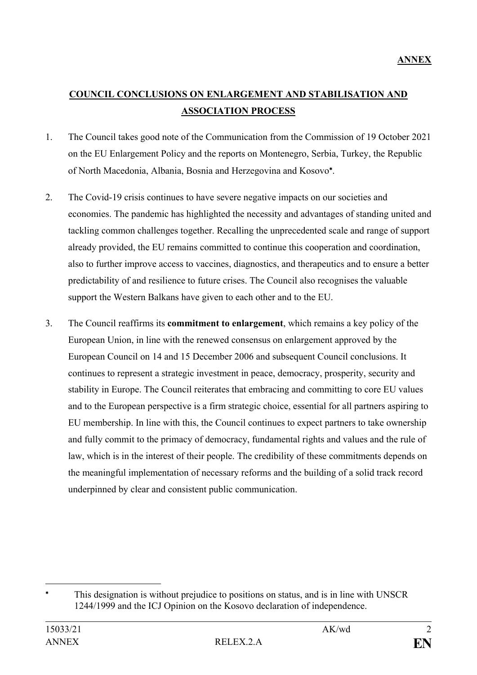# **COUNCIL CONCLUSIONS ON ENLARGEMENT AND STABILISATION AND ASSOCIATION PROCESS**

- 1. The Council takes good note of the Communication from the Commission of 19 October 2021 on the EU Enlargement Policy and the reports on Montenegro, Serbia, Turkey, the Republic of North Macedonia, Albania, Bosnia and Herzegovina and Kosovo\*.
- 2. The Covid-19 crisis continues to have severe negative impacts on our societies and economies. The pandemic has highlighted the necessity and advantages of standing united and tackling common challenges together. Recalling the unprecedented scale and range of support already provided, the EU remains committed to continue this cooperation and coordination, also to further improve access to vaccines, diagnostics, and therapeutics and to ensure a better predictability of and resilience to future crises. The Council also recognises the valuable support the Western Balkans have given to each other and to the EU.
- 3. The Council reaffirms its **commitment to enlargement**, which remains a key policy of the European Union, in line with the renewed consensus on enlargement approved by the European Council on 14 and 15 December 2006 and subsequent Council conclusions. It continues to represent a strategic investment in peace, democracy, prosperity, security and stability in Europe. The Council reiterates that embracing and committing to core EU values and to the European perspective is a firm strategic choice, essential for all partners aspiring to EU membership. In line with this, the Council continues to expect partners to take ownership and fully commit to the primacy of democracy, fundamental rights and values and the rule of law, which is in the interest of their people. The credibility of these commitments depends on the meaningful implementation of necessary reforms and the building of a solid track record underpinned by clear and consistent public communication.

 $\overline{a}$ 

This designation is without prejudice to positions on status, and is in line with UNSCR 1244/1999 and the ICJ Opinion on the Kosovo declaration of independence.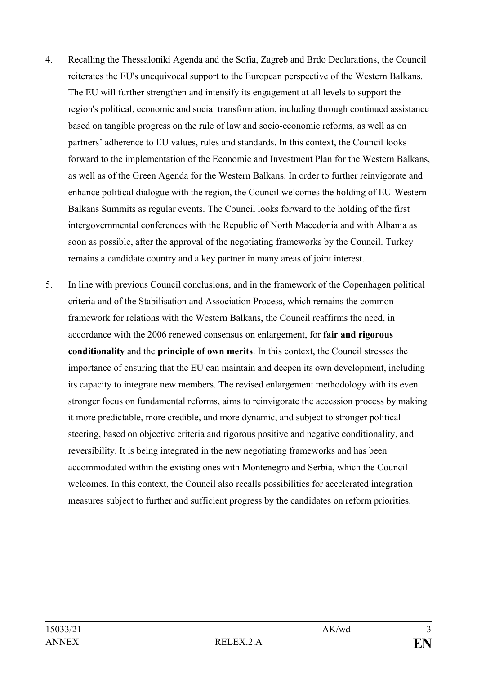- 4. Recalling the Thessaloniki Agenda and the Sofia, Zagreb and Brdo Declarations, the Council reiterates the EU's unequivocal support to the European perspective of the Western Balkans. The EU will further strengthen and intensify its engagement at all levels to support the region's political, economic and social transformation, including through continued assistance based on tangible progress on the rule of law and socio-economic reforms, as well as on partners' adherence to EU values, rules and standards. In this context, the Council looks forward to the implementation of the Economic and Investment Plan for the Western Balkans, as well as of the Green Agenda for the Western Balkans. In order to further reinvigorate and enhance political dialogue with the region, the Council welcomes the holding of EU-Western Balkans Summits as regular events. The Council looks forward to the holding of the first intergovernmental conferences with the Republic of North Macedonia and with Albania as soon as possible, after the approval of the negotiating frameworks by the Council. Turkey remains a candidate country and a key partner in many areas of joint interest.
- 5. In line with previous Council conclusions, and in the framework of the Copenhagen political criteria and of the Stabilisation and Association Process, which remains the common framework for relations with the Western Balkans, the Council reaffirms the need, in accordance with the 2006 renewed consensus on enlargement, for **fair and rigorous conditionality** and the **principle of own merits**. In this context, the Council stresses the importance of ensuring that the EU can maintain and deepen its own development, including its capacity to integrate new members. The revised enlargement methodology with its even stronger focus on fundamental reforms, aims to reinvigorate the accession process by making it more predictable, more credible, and more dynamic, and subject to stronger political steering, based on objective criteria and rigorous positive and negative conditionality, and reversibility. It is being integrated in the new negotiating frameworks and has been accommodated within the existing ones with Montenegro and Serbia, which the Council welcomes. In this context, the Council also recalls possibilities for accelerated integration measures subject to further and sufficient progress by the candidates on reform priorities.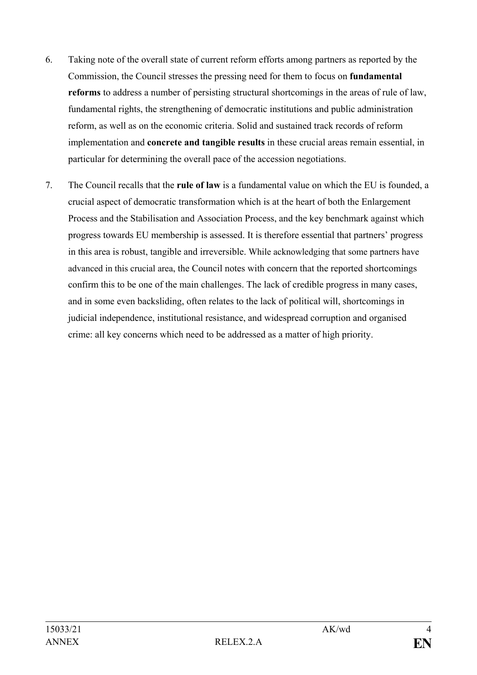- 6. Taking note of the overall state of current reform efforts among partners as reported by the Commission, the Council stresses the pressing need for them to focus on **fundamental reforms** to address a number of persisting structural shortcomings in the areas of rule of law, fundamental rights, the strengthening of democratic institutions and public administration reform, as well as on the economic criteria. Solid and sustained track records of reform implementation and **concrete and tangible results** in these crucial areas remain essential, in particular for determining the overall pace of the accession negotiations.
- 7. The Council recalls that the **rule of law** is a fundamental value on which the EU is founded, a crucial aspect of democratic transformation which is at the heart of both the Enlargement Process and the Stabilisation and Association Process, and the key benchmark against which progress towards EU membership is assessed. It is therefore essential that partners' progress in this area is robust, tangible and irreversible. While acknowledging that some partners have advanced in this crucial area, the Council notes with concern that the reported shortcomings confirm this to be one of the main challenges. The lack of credible progress in many cases, and in some even backsliding, often relates to the lack of political will, shortcomings in judicial independence, institutional resistance, and widespread corruption and organised crime: all key concerns which need to be addressed as a matter of high priority.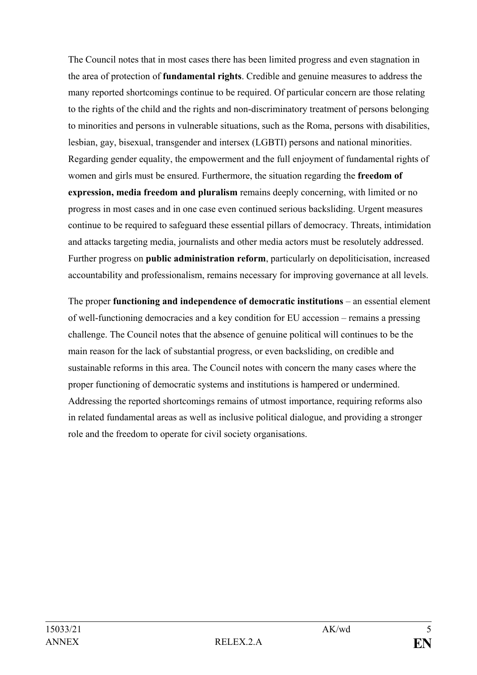The Council notes that in most cases there has been limited progress and even stagnation in the area of protection of **fundamental rights**. Credible and genuine measures to address the many reported shortcomings continue to be required. Of particular concern are those relating to the rights of the child and the rights and non-discriminatory treatment of persons belonging to minorities and persons in vulnerable situations, such as the Roma, persons with disabilities, lesbian, gay, bisexual, transgender and intersex (LGBTI) persons and national minorities. Regarding gender equality, the empowerment and the full enjoyment of fundamental rights of women and girls must be ensured. Furthermore, the situation regarding the **freedom of expression, media freedom and pluralism** remains deeply concerning, with limited or no progress in most cases and in one case even continued serious backsliding. Urgent measures continue to be required to safeguard these essential pillars of democracy. Threats, intimidation and attacks targeting media, journalists and other media actors must be resolutely addressed. Further progress on **public administration reform**, particularly on depoliticisation, increased accountability and professionalism, remains necessary for improving governance at all levels.

The proper **functioning and independence of democratic institutions** – an essential element of well-functioning democracies and a key condition for EU accession – remains a pressing challenge. The Council notes that the absence of genuine political will continues to be the main reason for the lack of substantial progress, or even backsliding, on credible and sustainable reforms in this area. The Council notes with concern the many cases where the proper functioning of democratic systems and institutions is hampered or undermined. Addressing the reported shortcomings remains of utmost importance, requiring reforms also in related fundamental areas as well as inclusive political dialogue, and providing a stronger role and the freedom to operate for civil society organisations.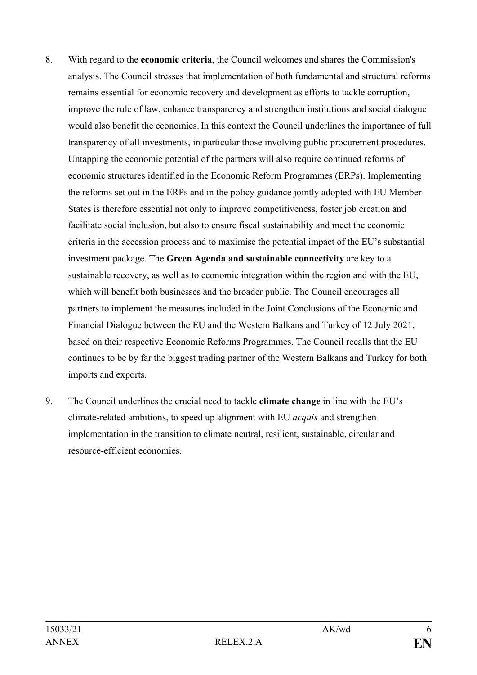- 8. With regard to the **economic criteria**, the Council welcomes and shares the Commission's analysis. The Council stresses that implementation of both fundamental and structural reforms remains essential for economic recovery and development as efforts to tackle corruption, improve the rule of law, enhance transparency and strengthen institutions and social dialogue would also benefit the economies.In this context the Council underlines the importance of full transparency of all investments, in particular those involving public procurement procedures. Untapping the economic potential of the partners will also require continued reforms of economic structures identified in the Economic Reform Programmes (ERPs). Implementing the reforms set out in the ERPs and in the policy guidance jointly adopted with EU Member States is therefore essential not only to improve competitiveness, foster job creation and facilitate social inclusion, but also to ensure fiscal sustainability and meet the economic criteria in the accession process and to maximise the potential impact of the EU's substantial investment package. The **Green Agenda and sustainable connectivity** are key to a sustainable recovery, as well as to economic integration within the region and with the EU, which will benefit both businesses and the broader public. The Council encourages all partners to implement the measures included in the Joint Conclusions of the Economic and Financial Dialogue between the EU and the Western Balkans and Turkey of 12 July 2021, based on their respective Economic Reforms Programmes. The Council recalls that the EU continues to be by far the biggest trading partner of the Western Balkans and Turkey for both imports and exports.
- 9. The Council underlines the crucial need to tackle **climate change** in line with the EU's climate-related ambitions, to speed up alignment with EU *acquis* and strengthen implementation in the transition to climate neutral, resilient, sustainable, circular and resource-efficient economies.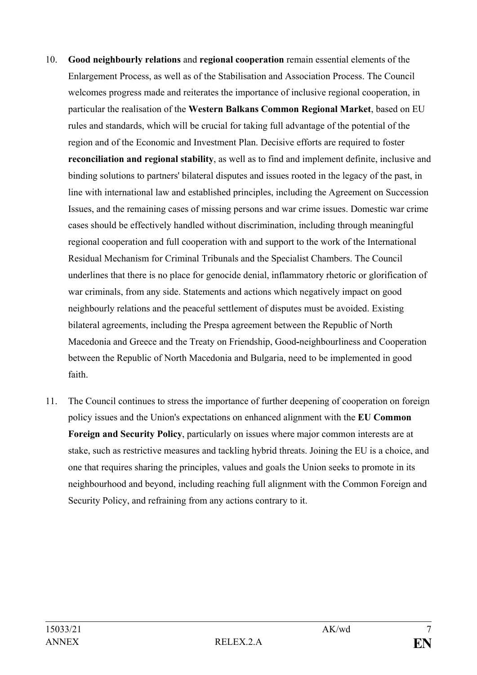- 10. **Good neighbourly relations** and **regional cooperation** remain essential elements of the Enlargement Process, as well as of the Stabilisation and Association Process. The Council welcomes progress made and reiterates the importance of inclusive regional cooperation, in particular the realisation of the **Western Balkans Common Regional Market**, based on EU rules and standards, which will be crucial for taking full advantage of the potential of the region and of the Economic and Investment Plan. Decisive efforts are required to foster **reconciliation and regional stability**, as well as to find and implement definite, inclusive and binding solutions to partners' bilateral disputes and issues rooted in the legacy of the past, in line with international law and established principles, including the Agreement on Succession Issues, and the remaining cases of missing persons and war crime issues. Domestic war crime cases should be effectively handled without discrimination, including through meaningful regional cooperation and full cooperation with and support to the work of the International Residual Mechanism for Criminal Tribunals and the Specialist Chambers. The Council underlines that there is no place for genocide denial, inflammatory rhetoric or glorification of war criminals, from any side. Statements and actions which negatively impact on good neighbourly relations and the peaceful settlement of disputes must be avoided. Existing bilateral agreements, including the Prespa agreement between the Republic of North Macedonia and Greece and the Treaty on Friendship, Good**-**neighbourliness and Cooperation between the Republic of North Macedonia and Bulgaria, need to be implemented in good faith.
- 11. The Council continues to stress the importance of further deepening of cooperation on foreign policy issues and the Union's expectations on enhanced alignment with the **EU Common Foreign and Security Policy**, particularly on issues where major common interests are at stake, such as restrictive measures and tackling hybrid threats. Joining the EU is a choice, and one that requires sharing the principles, values and goals the Union seeks to promote in its neighbourhood and beyond, including reaching full alignment with the Common Foreign and Security Policy, and refraining from any actions contrary to it.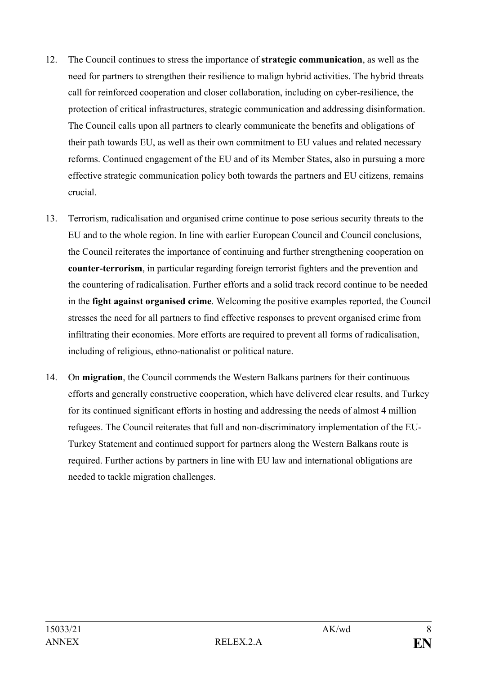- 12. The Council continues to stress the importance of **strategic communication**, as well as the need for partners to strengthen their resilience to malign hybrid activities. The hybrid threats call for reinforced cooperation and closer collaboration, including on cyber-resilience, the protection of critical infrastructures, strategic communication and addressing disinformation. The Council calls upon all partners to clearly communicate the benefits and obligations of their path towards EU, as well as their own commitment to EU values and related necessary reforms. Continued engagement of the EU and of its Member States, also in pursuing a more effective strategic communication policy both towards the partners and EU citizens, remains crucial.
- 13. Terrorism, radicalisation and organised crime continue to pose serious security threats to the EU and to the whole region. In line with earlier European Council and Council conclusions, the Council reiterates the importance of continuing and further strengthening cooperation on **counter-terrorism**, in particular regarding foreign terrorist fighters and the prevention and the countering of radicalisation. Further efforts and a solid track record continue to be needed in the **fight against organised crime**. Welcoming the positive examples reported, the Council stresses the need for all partners to find effective responses to prevent organised crime from infiltrating their economies. More efforts are required to prevent all forms of radicalisation, including of religious, ethno-nationalist or political nature.
- 14. On **migration**, the Council commends the Western Balkans partners for their continuous efforts and generally constructive cooperation, which have delivered clear results, and Turkey for its continued significant efforts in hosting and addressing the needs of almost 4 million refugees. The Council reiterates that full and non-discriminatory implementation of the EU-Turkey Statement and continued support for partners along the Western Balkans route is required. Further actions by partners in line with EU law and international obligations are needed to tackle migration challenges.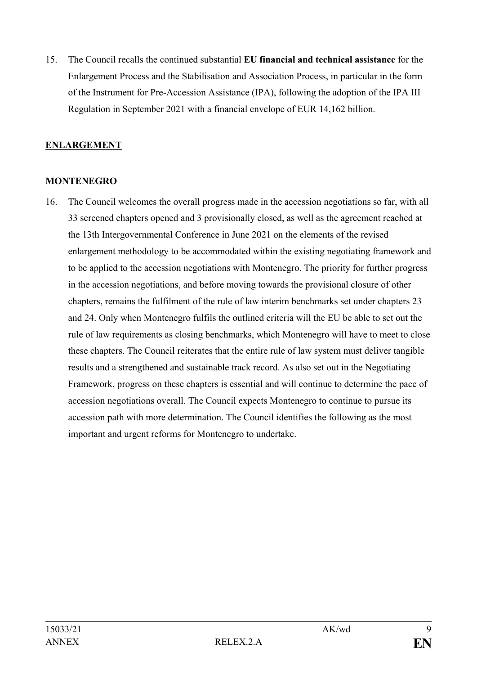15. The Council recalls the continued substantial **EU financial and technical assistance** for the Enlargement Process and the Stabilisation and Association Process, in particular in the form of the Instrument for Pre-Accession Assistance (IPA), following the adoption of the IPA III Regulation in September 2021 with a financial envelope of EUR 14,162 billion.

#### **ENLARGEMENT**

#### **MONTENEGRO**

16. The Council welcomes the overall progress made in the accession negotiations so far, with all 33 screened chapters opened and 3 provisionally closed, as well as the agreement reached at the 13th Intergovernmental Conference in June 2021 on the elements of the revised enlargement methodology to be accommodated within the existing negotiating framework and to be applied to the accession negotiations with Montenegro. The priority for further progress in the accession negotiations, and before moving towards the provisional closure of other chapters, remains the fulfilment of the rule of law interim benchmarks set under chapters 23 and 24. Only when Montenegro fulfils the outlined criteria will the EU be able to set out the rule of law requirements as closing benchmarks, which Montenegro will have to meet to close these chapters. The Council reiterates that the entire rule of law system must deliver tangible results and a strengthened and sustainable track record. As also set out in the Negotiating Framework, progress on these chapters is essential and will continue to determine the pace of accession negotiations overall. The Council expects Montenegro to continue to pursue its accession path with more determination. The Council identifies the following as the most important and urgent reforms for Montenegro to undertake.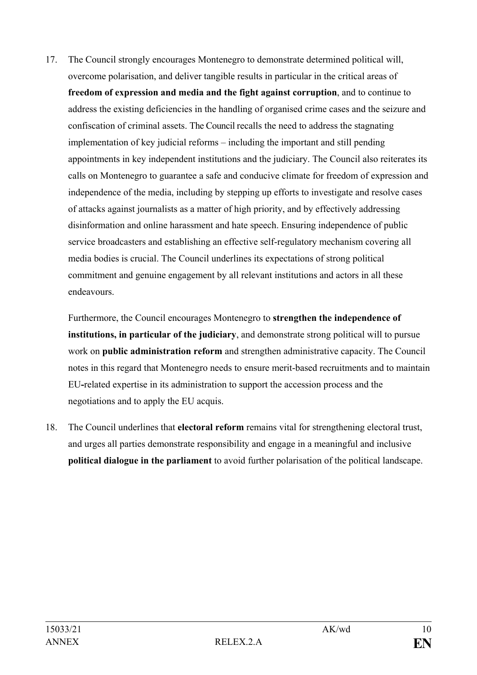17. The Council strongly encourages Montenegro to demonstrate determined political will, overcome polarisation, and deliver tangible results in particular in the critical areas of **freedom of expression and media and the fight against corruption**, and to continue to address the existing deficiencies in the handling of organised crime cases and the seizure and confiscation of criminal assets. The Council recalls the need to address the stagnating implementation of key judicial reforms – including the important and still pending appointments in key independent institutions and the judiciary. The Council also reiterates its calls on Montenegro to guarantee a safe and conducive climate for freedom of expression and independence of the media, including by stepping up efforts to investigate and resolve cases of attacks against journalists as a matter of high priority, and by effectively addressing disinformation and online harassment and hate speech. Ensuring independence of public service broadcasters and establishing an effective self-regulatory mechanism covering all media bodies is crucial. The Council underlines its expectations of strong political commitment and genuine engagement by all relevant institutions and actors in all these endeavours.

Furthermore, the Council encourages Montenegro to **strengthen the independence of institutions, in particular of the judiciary**, and demonstrate strong political will to pursue work on **public administration reform** and strengthen administrative capacity. The Council notes in this regard that Montenegro needs to ensure merit-based recruitments and to maintain EU**-**related expertise in its administration to support the accession process and the negotiations and to apply the EU acquis.

18. The Council underlines that **electoral reform** remains vital for strengthening electoral trust, and urges all parties demonstrate responsibility and engage in a meaningful and inclusive **political dialogue in the parliament** to avoid further polarisation of the political landscape.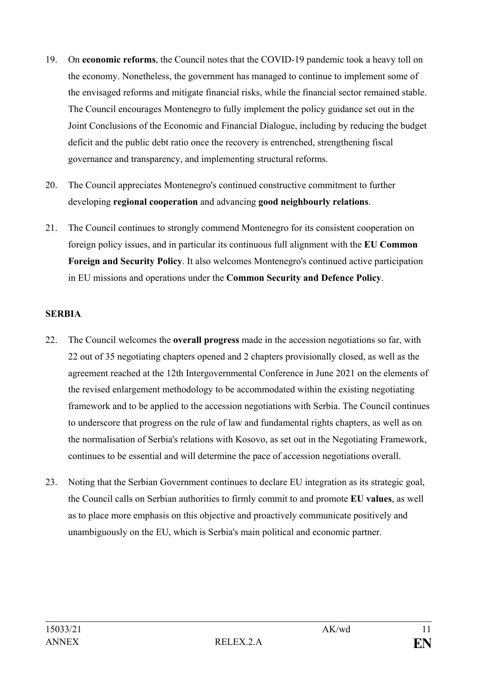- 19. On **economic reforms**, the Council notes that the COVID-19 pandemic took a heavy toll on the economy. Nonetheless, the government has managed to continue to implement some of the envisaged reforms and mitigate financial risks, while the financial sector remained stable. The Council encourages Montenegro to fully implement the policy guidance set out in the Joint Conclusions of the Economic and Financial Dialogue, including by reducing the budget deficit and the public debt ratio once the recovery is entrenched, strengthening fiscal governance and transparency, and implementing structural reforms.
- 20. The Council appreciates Montenegro's continued constructive commitment to further developing **regional cooperation** and advancing **good neighbourly relations**.
- 21. The Council continues to strongly commend Montenegro for its consistent cooperation on foreign policy issues, and in particular its continuous full alignment with the **EU Common Foreign and Security Policy**. It also welcomes Montenegro's continued active participation in EU missions and operations under the **Common Security and Defence Policy**.

### **SERBIA**

- 22. The Council welcomes the **overall progress** made in the accession negotiations so far, with 22 out of 35 negotiating chapters opened and 2 chapters provisionally closed, as well as the agreement reached at the 12th Intergovernmental Conference in June 2021 on the elements of the revised enlargement methodology to be accommodated within the existing negotiating framework and to be applied to the accession negotiations with Serbia. The Council continues to underscore that progress on the rule of law and fundamental rights chapters, as well as on the normalisation of Serbia's relations with Kosovo, as set out in the Negotiating Framework, continues to be essential and will determine the pace of accession negotiations overall.
- 23. Noting that the Serbian Government continues to declare EU integration as its strategic goal, the Council calls on Serbian authorities to firmly commit to and promote **EU values**, as well as to place more emphasis on this objective and proactively communicate positively and unambiguously on the EU, which is Serbia's main political and economic partner.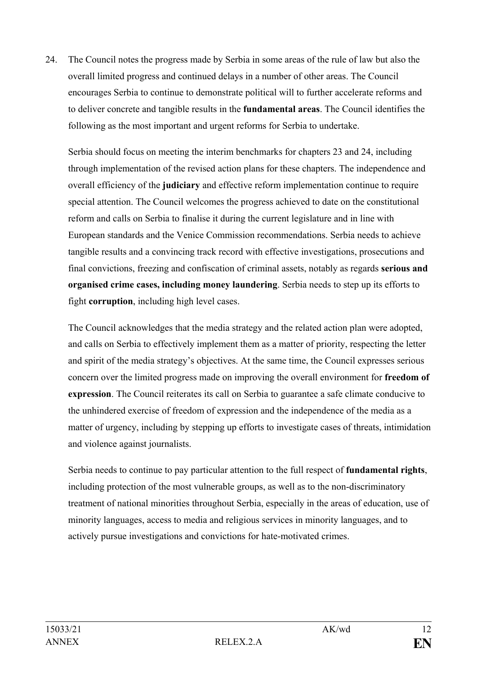24. The Council notes the progress made by Serbia in some areas of the rule of law but also the overall limited progress and continued delays in a number of other areas. The Council encourages Serbia to continue to demonstrate political will to further accelerate reforms and to deliver concrete and tangible results in the **fundamental areas**. The Council identifies the following as the most important and urgent reforms for Serbia to undertake.

Serbia should focus on meeting the interim benchmarks for chapters 23 and 24, including through implementation of the revised action plans for these chapters. The independence and overall efficiency of the **judiciary** and effective reform implementation continue to require special attention. The Council welcomes the progress achieved to date on the constitutional reform and calls on Serbia to finalise it during the current legislature and in line with European standards and the Venice Commission recommendations. Serbia needs to achieve tangible results and a convincing track record with effective investigations, prosecutions and final convictions, freezing and confiscation of criminal assets, notably as regards **serious and organised crime cases, including money laundering**. Serbia needs to step up its efforts to fight **corruption**, including high level cases.

The Council acknowledges that the media strategy and the related action plan were adopted, and calls on Serbia to effectively implement them as a matter of priority, respecting the letter and spirit of the media strategy's objectives. At the same time, the Council expresses serious concern over the limited progress made on improving the overall environment for **freedom of expression**. The Council reiterates its call on Serbia to guarantee a safe climate conducive to the unhindered exercise of freedom of expression and the independence of the media as a matter of urgency, including by stepping up efforts to investigate cases of threats, intimidation and violence against journalists.

Serbia needs to continue to pay particular attention to the full respect of **fundamental rights**, including protection of the most vulnerable groups, as well as to the non-discriminatory treatment of national minorities throughout Serbia, especially in the areas of education, use of minority languages, access to media and religious services in minority languages, and to actively pursue investigations and convictions for hate-motivated crimes.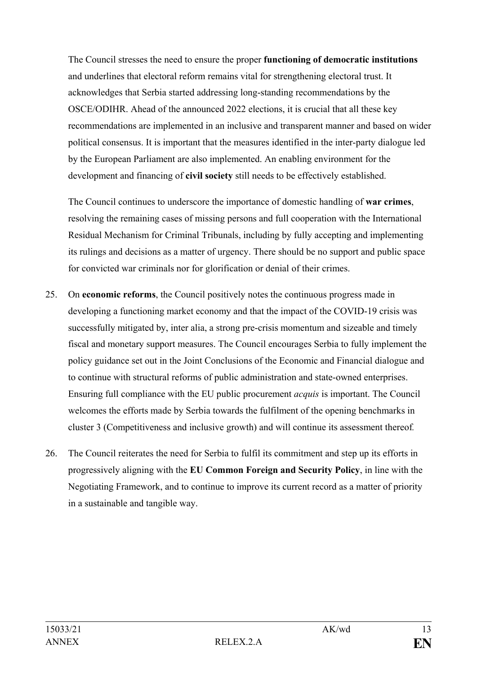The Council stresses the need to ensure the proper **functioning of democratic institutions** and underlines that electoral reform remains vital for strengthening electoral trust. It acknowledges that Serbia started addressing long-standing recommendations by the OSCE/ODIHR. Ahead of the announced 2022 elections, it is crucial that all these key recommendations are implemented in an inclusive and transparent manner and based on wider political consensus. It is important that the measures identified in the inter-party dialogue led by the European Parliament are also implemented. An enabling environment for the development and financing of **civil society** still needs to be effectively established.

The Council continues to underscore the importance of domestic handling of **war crimes**, resolving the remaining cases of missing persons and full cooperation with the International Residual Mechanism for Criminal Tribunals, including by fully accepting and implementing its rulings and decisions as a matter of urgency. There should be no support and public space for convicted war criminals nor for glorification or denial of their crimes.

- 25. On **economic reforms**, the Council positively notes the continuous progress made in developing a functioning market economy and that the impact of the COVID-19 crisis was successfully mitigated by, inter alia, a strong pre-crisis momentum and sizeable and timely fiscal and monetary support measures. The Council encourages Serbia to fully implement the policy guidance set out in the Joint Conclusions of the Economic and Financial dialogue and to continue with structural reforms of public administration and state-owned enterprises. Ensuring full compliance with the EU public procurement *acquis* is important. The Council welcomes the efforts made by Serbia towards the fulfilment of the opening benchmarks in cluster 3 (Competitiveness and inclusive growth) and will continue its assessment thereof*.*
- 26. The Council reiterates the need for Serbia to fulfil its commitment and step up its efforts in progressively aligning with the **EU Common Foreign and Security Policy**, in line with the Negotiating Framework, and to continue to improve its current record as a matter of priority in a sustainable and tangible way.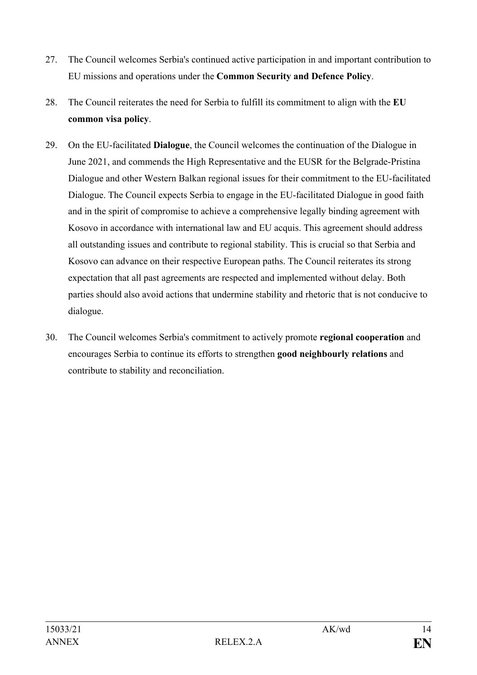- 27. The Council welcomes Serbia's continued active participation in and important contribution to EU missions and operations under the **Common Security and Defence Policy**.
- 28. The Council reiterates the need for Serbia to fulfill its commitment to align with the **EU common visa policy**.
- 29. On the EU-facilitated **Dialogue**, the Council welcomes the continuation of the Dialogue in June 2021, and commends the High Representative and the EUSR for the Belgrade-Pristina Dialogue and other Western Balkan regional issues for their commitment to the EU-facilitated Dialogue. The Council expects Serbia to engage in the EU-facilitated Dialogue in good faith and in the spirit of compromise to achieve a comprehensive legally binding agreement with Kosovo in accordance with international law and EU acquis. This agreement should address all outstanding issues and contribute to regional stability. This is crucial so that Serbia and Kosovo can advance on their respective European paths. The Council reiterates its strong expectation that all past agreements are respected and implemented without delay. Both parties should also avoid actions that undermine stability and rhetoric that is not conducive to dialogue.
- 30. The Council welcomes Serbia's commitment to actively promote **regional cooperation** and encourages Serbia to continue its efforts to strengthen **good neighbourly relations** and contribute to stability and reconciliation.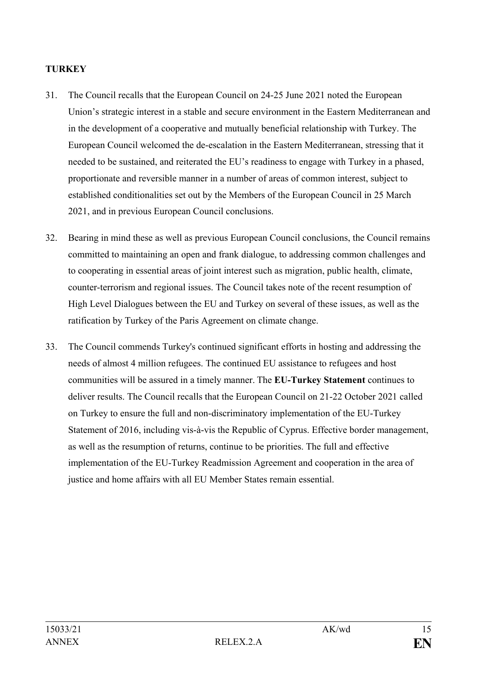#### **TURKEY**

- 31. The Council recalls that the European Council on 24-25 June 2021 noted the European Union's strategic interest in a stable and secure environment in the Eastern Mediterranean and in the development of a cooperative and mutually beneficial relationship with Turkey. The European Council welcomed the de-escalation in the Eastern Mediterranean, stressing that it needed to be sustained, and reiterated the EU's readiness to engage with Turkey in a phased, proportionate and reversible manner in a number of areas of common interest, subject to established conditionalities set out by the Members of the European Council in 25 March 2021, and in previous European Council conclusions.
- 32. Bearing in mind these as well as previous European Council conclusions, the Council remains committed to maintaining an open and frank dialogue, to addressing common challenges and to cooperating in essential areas of joint interest such as migration, public health, climate, counter-terrorism and regional issues. The Council takes note of the recent resumption of High Level Dialogues between the EU and Turkey on several of these issues, as well as the ratification by Turkey of the Paris Agreement on climate change.
- 33. The Council commends Turkey's continued significant efforts in hosting and addressing the needs of almost 4 million refugees. The continued EU assistance to refugees and host communities will be assured in a timely manner. The **EU-Turkey Statement** continues to deliver results. The Council recalls that the European Council on 21-22 October 2021 called on Turkey to ensure the full and non-discriminatory implementation of the EU-Turkey Statement of 2016, including vis-à-vis the Republic of Cyprus. Effective border management, as well as the resumption of returns, continue to be priorities. The full and effective implementation of the EU-Turkey Readmission Agreement and cooperation in the area of justice and home affairs with all EU Member States remain essential.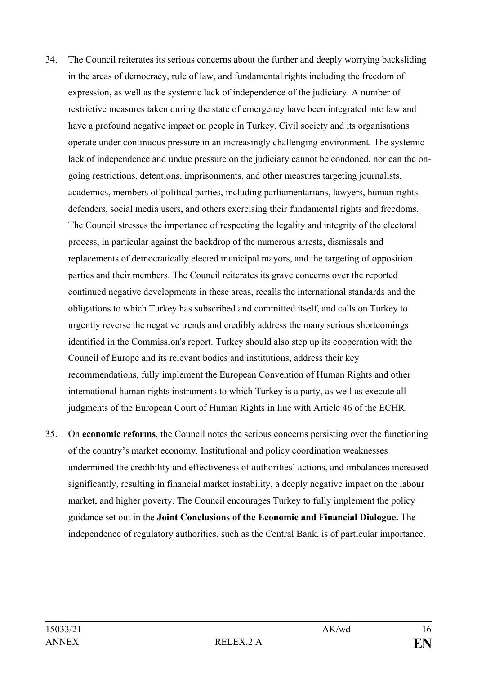- 34. The Council reiterates its serious concerns about the further and deeply worrying backsliding in the areas of democracy, rule of law, and fundamental rights including the freedom of expression, as well as the systemic lack of independence of the judiciary. A number of restrictive measures taken during the state of emergency have been integrated into law and have a profound negative impact on people in Turkey. Civil society and its organisations operate under continuous pressure in an increasingly challenging environment. The systemic lack of independence and undue pressure on the judiciary cannot be condoned, nor can the ongoing restrictions, detentions, imprisonments, and other measures targeting journalists, academics, members of political parties, including parliamentarians, lawyers, human rights defenders, social media users, and others exercising their fundamental rights and freedoms. The Council stresses the importance of respecting the legality and integrity of the electoral process, in particular against the backdrop of the numerous arrests, dismissals and replacements of democratically elected municipal mayors, and the targeting of opposition parties and their members. The Council reiterates its grave concerns over the reported continued negative developments in these areas, recalls the international standards and the obligations to which Turkey has subscribed and committed itself, and calls on Turkey to urgently reverse the negative trends and credibly address the many serious shortcomings identified in the Commission's report. Turkey should also step up its cooperation with the Council of Europe and its relevant bodies and institutions, address their key recommendations, fully implement the European Convention of Human Rights and other international human rights instruments to which Turkey is a party, as well as execute all judgments of the European Court of Human Rights in line with Article 46 of the ECHR.
- 35. On **economic reforms**, the Council notes the serious concerns persisting over the functioning of the country's market economy. Institutional and policy coordination weaknesses undermined the credibility and effectiveness of authorities' actions, and imbalances increased significantly, resulting in financial market instability, a deeply negative impact on the labour market, and higher poverty. The Council encourages Turkey to fully implement the policy guidance set out in the **Joint Conclusions of the Economic and Financial Dialogue.** The independence of regulatory authorities, such as the Central Bank, is of particular importance.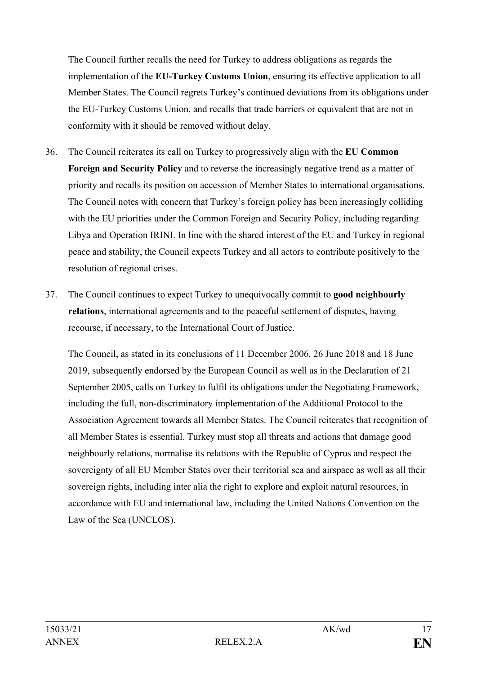The Council further recalls the need for Turkey to address obligations as regards the implementation of the **EU-Turkey Customs Union**, ensuring its effective application to all Member States. The Council regrets Turkey's continued deviations from its obligations under the EU-Turkey Customs Union, and recalls that trade barriers or equivalent that are not in conformity with it should be removed without delay.

- 36. The Council reiterates its call on Turkey to progressively align with the **EU Common Foreign and Security Policy** and to reverse the increasingly negative trend as a matter of priority and recalls its position on accession of Member States to international organisations. The Council notes with concern that Turkey's foreign policy has been increasingly colliding with the EU priorities under the Common Foreign and Security Policy, including regarding Libya and Operation IRINI. In line with the shared interest of the EU and Turkey in regional peace and stability, the Council expects Turkey and all actors to contribute positively to the resolution of regional crises.
- 37. The Council continues to expect Turkey to unequivocally commit to **good neighbourly relations**, international agreements and to the peaceful settlement of disputes, having recourse, if necessary, to the International Court of Justice.

The Council, as stated in its conclusions of 11 December 2006, 26 June 2018 and 18 June 2019, subsequently endorsed by the European Council as well as in the Declaration of 21 September 2005, calls on Turkey to fulfil its obligations under the Negotiating Framework, including the full, non-discriminatory implementation of the Additional Protocol to the Association Agreement towards all Member States. The Council reiterates that recognition of all Member States is essential. Turkey must stop all threats and actions that damage good neighbourly relations, normalise its relations with the Republic of Cyprus and respect the sovereignty of all EU Member States over their territorial sea and airspace as well as all their sovereign rights, including inter alia the right to explore and exploit natural resources, in accordance with EU and international law, including the United Nations Convention on the Law of the Sea (UNCLOS).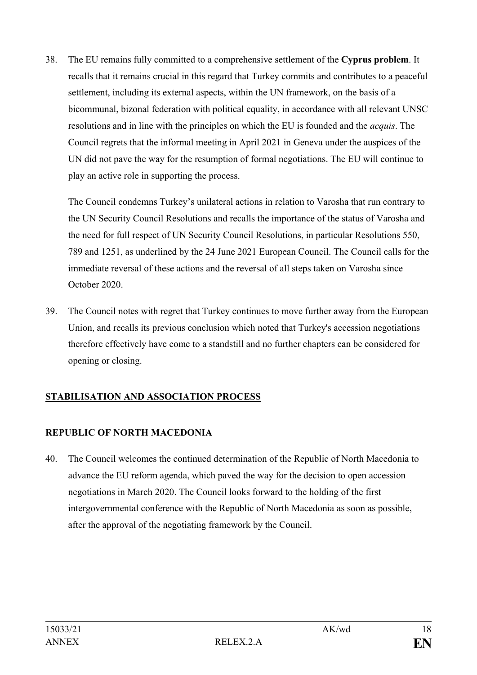38. The EU remains fully committed to a comprehensive settlement of the **Cyprus problem**. It recalls that it remains crucial in this regard that Turkey commits and contributes to a peaceful settlement, including its external aspects, within the UN framework, on the basis of a bicommunal, bizonal federation with political equality, in accordance with all relevant UNSC resolutions and in line with the principles on which the EU is founded and the *acquis*. The Council regrets that the informal meeting in April 2021 in Geneva under the auspices of the UN did not pave the way for the resumption of formal negotiations. The EU will continue to play an active role in supporting the process.

The Council condemns Turkey's unilateral actions in relation to Varosha that run contrary to the UN Security Council Resolutions and recalls the importance of the status of Varosha and the need for full respect of UN Security Council Resolutions, in particular Resolutions 550, 789 and 1251, as underlined by the 24 June 2021 European Council. The Council calls for the immediate reversal of these actions and the reversal of all steps taken on Varosha since October 2020.

39. The Council notes with regret that Turkey continues to move further away from the European Union, and recalls its previous conclusion which noted that Turkey's accession negotiations therefore effectively have come to a standstill and no further chapters can be considered for opening or closing.

## **STABILISATION AND ASSOCIATION PROCESS**

### **REPUBLIC OF NORTH MACEDONIA**

40. The Council welcomes the continued determination of the Republic of North Macedonia to advance the EU reform agenda, which paved the way for the decision to open accession negotiations in March 2020. The Council looks forward to the holding of the first intergovernmental conference with the Republic of North Macedonia as soon as possible, after the approval of the negotiating framework by the Council.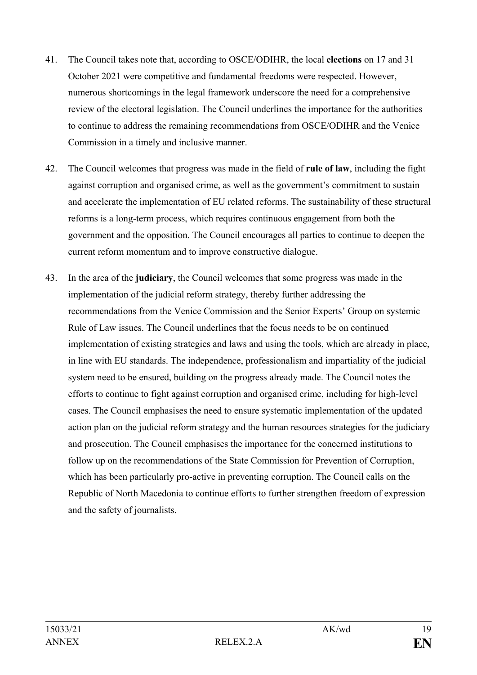- 41. The Council takes note that, according to OSCE/ODIHR, the local **elections** on 17 and 31 October 2021 were competitive and fundamental freedoms were respected. However, numerous shortcomings in the legal framework underscore the need for a comprehensive review of the electoral legislation. The Council underlines the importance for the authorities to continue to address the remaining recommendations from OSCE/ODIHR and the Venice Commission in a timely and inclusive manner.
- 42. The Council welcomes that progress was made in the field of **rule of law**, including the fight against corruption and organised crime, as well as the government's commitment to sustain and accelerate the implementation of EU related reforms. The sustainability of these structural reforms is a long-term process, which requires continuous engagement from both the government and the opposition. The Council encourages all parties to continue to deepen the current reform momentum and to improve constructive dialogue.
- 43. In the area of the **judiciary**, the Council welcomes that some progress was made in the implementation of the judicial reform strategy, thereby further addressing the recommendations from the Venice Commission and the Senior Experts' Group on systemic Rule of Law issues. The Council underlines that the focus needs to be on continued implementation of existing strategies and laws and using the tools, which are already in place, in line with EU standards. The independence, professionalism and impartiality of the judicial system need to be ensured, building on the progress already made. The Council notes the efforts to continue to fight against corruption and organised crime, including for high-level cases. The Council emphasises the need to ensure systematic implementation of the updated action plan on the judicial reform strategy and the human resources strategies for the judiciary and prosecution. The Council emphasises the importance for the concerned institutions to follow up on the recommendations of the State Commission for Prevention of Corruption, which has been particularly pro-active in preventing corruption. The Council calls on the Republic of North Macedonia to continue efforts to further strengthen freedom of expression and the safety of journalists.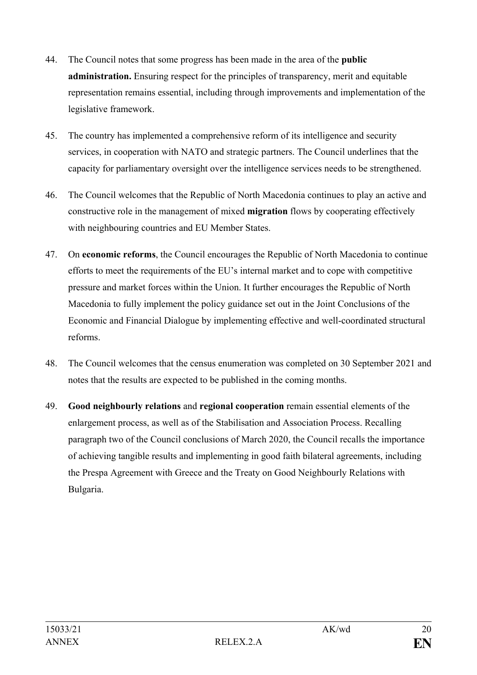- 44. The Council notes that some progress has been made in the area of the **public administration.** Ensuring respect for the principles of transparency, merit and equitable representation remains essential, including through improvements and implementation of the legislative framework.
- 45. The country has implemented a comprehensive reform of its intelligence and security services, in cooperation with NATO and strategic partners. The Council underlines that the capacity for parliamentary oversight over the intelligence services needs to be strengthened.
- 46. The Council welcomes that the Republic of North Macedonia continues to play an active and constructive role in the management of mixed **migration** flows by cooperating effectively with neighbouring countries and EU Member States.
- 47. On **economic reforms**, the Council encourages the Republic of North Macedonia to continue efforts to meet the requirements of the EU's internal market and to cope with competitive pressure and market forces within the Union. It further encourages the Republic of North Macedonia to fully implement the policy guidance set out in the Joint Conclusions of the Economic and Financial Dialogue by implementing effective and well-coordinated structural reforms.
- 48. The Council welcomes that the census enumeration was completed on 30 September 2021 and notes that the results are expected to be published in the coming months.
- 49. **Good neighbourly relations** and **regional cooperation** remain essential elements of the enlargement process, as well as of the Stabilisation and Association Process. Recalling paragraph two of the Council conclusions of March 2020, the Council recalls the importance of achieving tangible results and implementing in good faith bilateral agreements, including the Prespa Agreement with Greece and the Treaty on Good Neighbourly Relations with Bulgaria.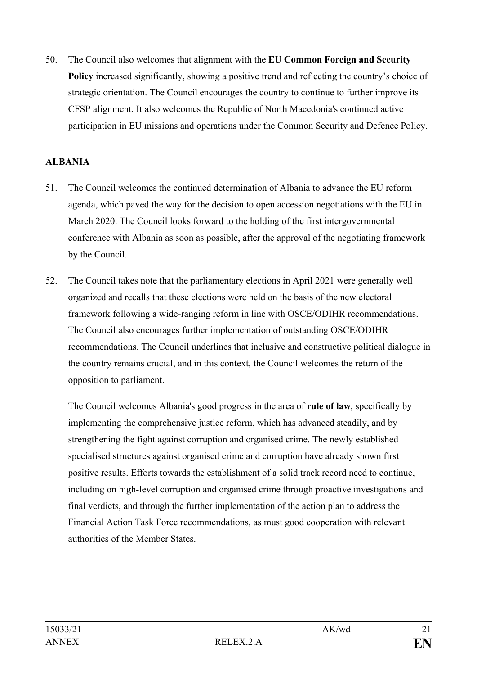50. The Council also welcomes that alignment with the **EU Common Foreign and Security Policy** increased significantly, showing a positive trend and reflecting the country's choice of strategic orientation. The Council encourages the country to continue to further improve its CFSP alignment. It also welcomes the Republic of North Macedonia's continued active participation in EU missions and operations under the Common Security and Defence Policy.

#### **ALBANIA**

- 51. The Council welcomes the continued determination of Albania to advance the EU reform agenda, which paved the way for the decision to open accession negotiations with the EU in March 2020. The Council looks forward to the holding of the first intergovernmental conference with Albania as soon as possible, after the approval of the negotiating framework by the Council.
- 52. The Council takes note that the parliamentary elections in April 2021 were generally well organized and recalls that these elections were held on the basis of the new electoral framework following a wide-ranging reform in line with OSCE/ODIHR recommendations. The Council also encourages further implementation of outstanding OSCE/ODIHR recommendations. The Council underlines that inclusive and constructive political dialogue in the country remains crucial, and in this context, the Council welcomes the return of the opposition to parliament.

The Council welcomes Albania's good progress in the area of **rule of law**, specifically by implementing the comprehensive justice reform, which has advanced steadily, and by strengthening the fight against corruption and organised crime. The newly established specialised structures against organised crime and corruption have already shown first positive results. Efforts towards the establishment of a solid track record need to continue, including on high-level corruption and organised crime through proactive investigations and final verdicts, and through the further implementation of the action plan to address the Financial Action Task Force recommendations, as must good cooperation with relevant authorities of the Member States.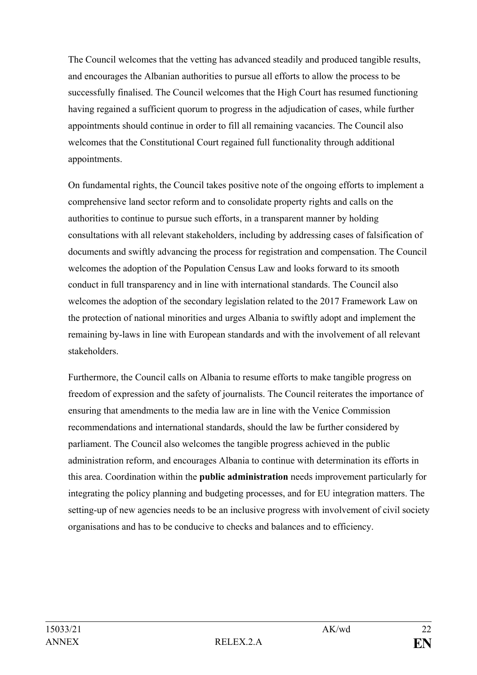The Council welcomes that the vetting has advanced steadily and produced tangible results, and encourages the Albanian authorities to pursue all efforts to allow the process to be successfully finalised. The Council welcomes that the High Court has resumed functioning having regained a sufficient quorum to progress in the adjudication of cases, while further appointments should continue in order to fill all remaining vacancies. The Council also welcomes that the Constitutional Court regained full functionality through additional appointments.

On fundamental rights, the Council takes positive note of the ongoing efforts to implement a comprehensive land sector reform and to consolidate property rights and calls on the authorities to continue to pursue such efforts, in a transparent manner by holding consultations with all relevant stakeholders, including by addressing cases of falsification of documents and swiftly advancing the process for registration and compensation. The Council welcomes the adoption of the Population Census Law and looks forward to its smooth conduct in full transparency and in line with international standards. The Council also welcomes the adoption of the secondary legislation related to the 2017 Framework Law on the protection of national minorities and urges Albania to swiftly adopt and implement the remaining by-laws in line with European standards and with the involvement of all relevant stakeholders.

Furthermore, the Council calls on Albania to resume efforts to make tangible progress on freedom of expression and the safety of journalists. The Council reiterates the importance of ensuring that amendments to the media law are in line with the Venice Commission recommendations and international standards, should the law be further considered by parliament. The Council also welcomes the tangible progress achieved in the public administration reform, and encourages Albania to continue with determination its efforts in this area. Coordination within the **public administration** needs improvement particularly for integrating the policy planning and budgeting processes, and for EU integration matters. The setting-up of new agencies needs to be an inclusive progress with involvement of civil society organisations and has to be conducive to checks and balances and to efficiency.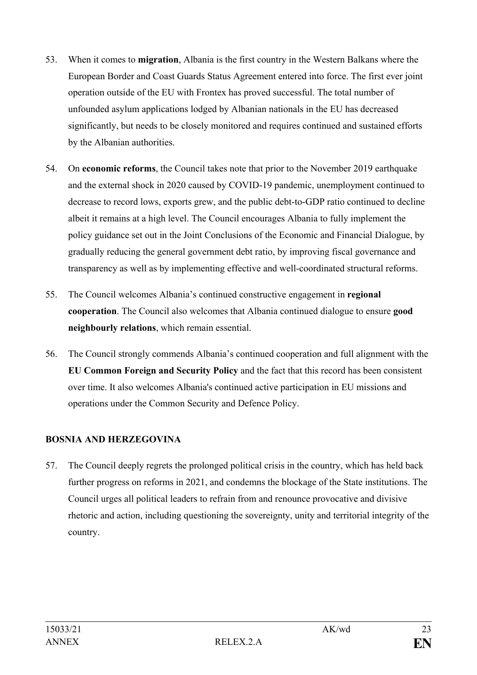- 53. When it comes to **migration**, Albania is the first country in the Western Balkans where the European Border and Coast Guards Status Agreement entered into force. The first ever joint operation outside of the EU with Frontex has proved successful. The total number of unfounded asylum applications lodged by Albanian nationals in the EU has decreased significantly, but needs to be closely monitored and requires continued and sustained efforts by the Albanian authorities.
- 54. On **economic reforms**, the Council takes note that prior to the November 2019 earthquake and the external shock in 2020 caused by COVID-19 pandemic, unemployment continued to decrease to record lows, exports grew, and the public debt-to-GDP ratio continued to decline albeit it remains at a high level. The Council encourages Albania to fully implement the policy guidance set out in the Joint Conclusions of the Economic and Financial Dialogue, by gradually reducing the general government debt ratio, by improving fiscal governance and transparency as well as by implementing effective and well-coordinated structural reforms.
- 55. The Council welcomes Albania's continued constructive engagement in **regional cooperation**. The Council also welcomes that Albania continued dialogue to ensure **good neighbourly relations**, which remain essential.
- 56. The Council strongly commends Albania's continued cooperation and full alignment with the **EU Common Foreign and Security Policy** and the fact that this record has been consistent over time. It also welcomes Albania's continued active participation in EU missions and operations under the Common Security and Defence Policy.

### **BOSNIA AND HERZEGOVINA**

57. The Council deeply regrets the prolonged political crisis in the country, which has held back further progress on reforms in 2021, and condemns the blockage of the State institutions. The Council urges all political leaders to refrain from and renounce provocative and divisive rhetoric and action, including questioning the sovereignty, unity and territorial integrity of the country.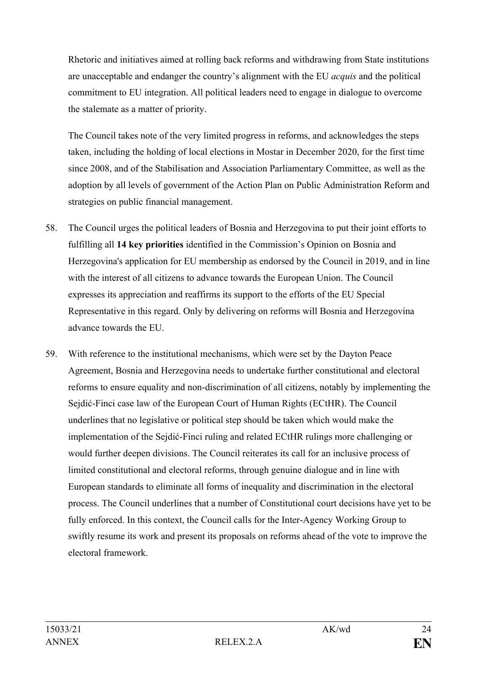Rhetoric and initiatives aimed at rolling back reforms and withdrawing from State institutions are unacceptable and endanger the country's alignment with the EU *acquis* and the political commitment to EU integration. All political leaders need to engage in dialogue to overcome the stalemate as a matter of priority.

The Council takes note of the very limited progress in reforms, and acknowledges the steps taken, including the holding of local elections in Mostar in December 2020, for the first time since 2008, and of the Stabilisation and Association Parliamentary Committee, as well as the adoption by all levels of government of the Action Plan on Public Administration Reform and strategies on public financial management.

- 58. The Council urges the political leaders of Bosnia and Herzegovina to put their joint efforts to fulfilling all **14 key priorities** identified in the Commission's Opinion on Bosnia and Herzegovina's application for EU membership as endorsed by the Council in 2019, and in line with the interest of all citizens to advance towards the European Union. The Council expresses its appreciation and reaffirms its support to the efforts of the EU Special Representative in this regard. Only by delivering on reforms will Bosnia and Herzegovina advance towards the EU.
- 59. With reference to the institutional mechanisms, which were set by the Dayton Peace Agreement, Bosnia and Herzegovina needs to undertake further constitutional and electoral reforms to ensure equality and non-discrimination of all citizens, notably by implementing the Sejdić-Finci case law of the European Court of Human Rights (ECtHR). The Council underlines that no legislative or political step should be taken which would make the implementation of the Sejdić-Finci ruling and related ECtHR rulings more challenging or would further deepen divisions. The Council reiterates its call for an inclusive process of limited constitutional and electoral reforms, through genuine dialogue and in line with European standards to eliminate all forms of inequality and discrimination in the electoral process. The Council underlines that a number of Constitutional court decisions have yet to be fully enforced. In this context, the Council calls for the Inter-Agency Working Group to swiftly resume its work and present its proposals on reforms ahead of the vote to improve the electoral framework.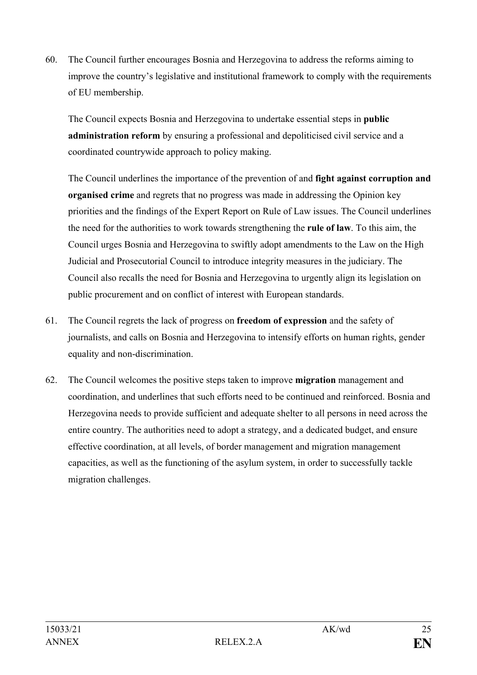60. The Council further encourages Bosnia and Herzegovina to address the reforms aiming to improve the country's legislative and institutional framework to comply with the requirements of EU membership.

The Council expects Bosnia and Herzegovina to undertake essential steps in **public administration reform** by ensuring a professional and depoliticised civil service and a coordinated countrywide approach to policy making.

The Council underlines the importance of the prevention of and **fight against corruption and organised crime** and regrets that no progress was made in addressing the Opinion key priorities and the findings of the Expert Report on Rule of Law issues. The Council underlines the need for the authorities to work towards strengthening the **rule of law**. To this aim, the Council urges Bosnia and Herzegovina to swiftly adopt amendments to the Law on the High Judicial and Prosecutorial Council to introduce integrity measures in the judiciary. The Council also recalls the need for Bosnia and Herzegovina to urgently align its legislation on public procurement and on conflict of interest with European standards.

- 61. The Council regrets the lack of progress on **freedom of expression** and the safety of journalists, and calls on Bosnia and Herzegovina to intensify efforts on human rights, gender equality and non-discrimination.
- 62. The Council welcomes the positive steps taken to improve **migration** management and coordination, and underlines that such efforts need to be continued and reinforced. Bosnia and Herzegovina needs to provide sufficient and adequate shelter to all persons in need across the entire country. The authorities need to adopt a strategy, and a dedicated budget, and ensure effective coordination, at all levels, of border management and migration management capacities, as well as the functioning of the asylum system, in order to successfully tackle migration challenges.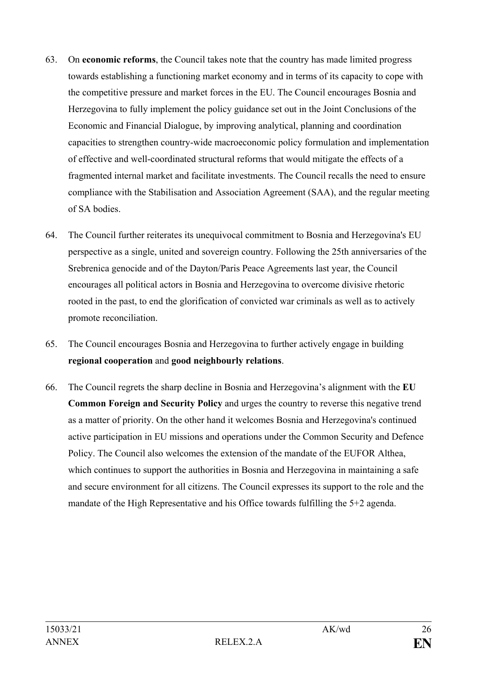- 63. On **economic reforms**, the Council takes note that the country has made limited progress towards establishing a functioning market economy and in terms of its capacity to cope with the competitive pressure and market forces in the EU. The Council encourages Bosnia and Herzegovina to fully implement the policy guidance set out in the Joint Conclusions of the Economic and Financial Dialogue, by improving analytical, planning and coordination capacities to strengthen country-wide macroeconomic policy formulation and implementation of effective and well-coordinated structural reforms that would mitigate the effects of a fragmented internal market and facilitate investments. The Council recalls the need to ensure compliance with the Stabilisation and Association Agreement (SAA), and the regular meeting of SA bodies.
- 64. The Council further reiterates its unequivocal commitment to Bosnia and Herzegovina's EU perspective as a single, united and sovereign country. Following the 25th anniversaries of the Srebrenica genocide and of the Dayton/Paris Peace Agreements last year, the Council encourages all political actors in Bosnia and Herzegovina to overcome divisive rhetoric rooted in the past, to end the glorification of convicted war criminals as well as to actively promote reconciliation.
- 65. The Council encourages Bosnia and Herzegovina to further actively engage in building **regional cooperation** and **good neighbourly relations**.
- 66. The Council regrets the sharp decline in Bosnia and Herzegovina's alignment with the **EU Common Foreign and Security Policy** and urges the country to reverse this negative trend as a matter of priority. On the other hand it welcomes Bosnia and Herzegovina's continued active participation in EU missions and operations under the Common Security and Defence Policy. The Council also welcomes the extension of the mandate of the EUFOR Althea, which continues to support the authorities in Bosnia and Herzegovina in maintaining a safe and secure environment for all citizens. The Council expresses its support to the role and the mandate of the High Representative and his Office towards fulfilling the 5+2 agenda.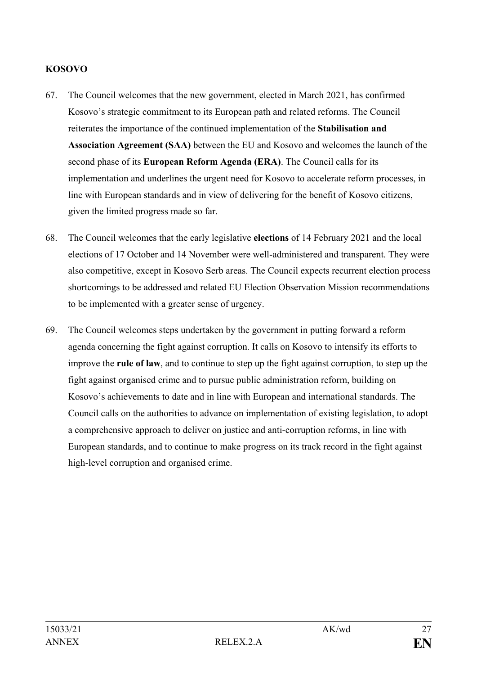#### **KOSOVO**

- 67. The Council welcomes that the new government, elected in March 2021, has confirmed Kosovo's strategic commitment to its European path and related reforms. The Council reiterates the importance of the continued implementation of the **Stabilisation and Association Agreement (SAA)** between the EU and Kosovo and welcomes the launch of the second phase of its **European Reform Agenda (ERA)**. The Council calls for its implementation and underlines the urgent need for Kosovo to accelerate reform processes, in line with European standards and in view of delivering for the benefit of Kosovo citizens, given the limited progress made so far.
- 68. The Council welcomes that the early legislative **elections** of 14 February 2021 and the local elections of 17 October and 14 November were well-administered and transparent. They were also competitive, except in Kosovo Serb areas. The Council expects recurrent election process shortcomings to be addressed and related EU Election Observation Mission recommendations to be implemented with a greater sense of urgency.
- 69. The Council welcomes steps undertaken by the government in putting forward a reform agenda concerning the fight against corruption. It calls on Kosovo to intensify its efforts to improve the **rule of law**, and to continue to step up the fight against corruption, to step up the fight against organised crime and to pursue public administration reform, building on Kosovo's achievements to date and in line with European and international standards. The Council calls on the authorities to advance on implementation of existing legislation, to adopt a comprehensive approach to deliver on justice and anti-corruption reforms, in line with European standards, and to continue to make progress on its track record in the fight against high-level corruption and organised crime.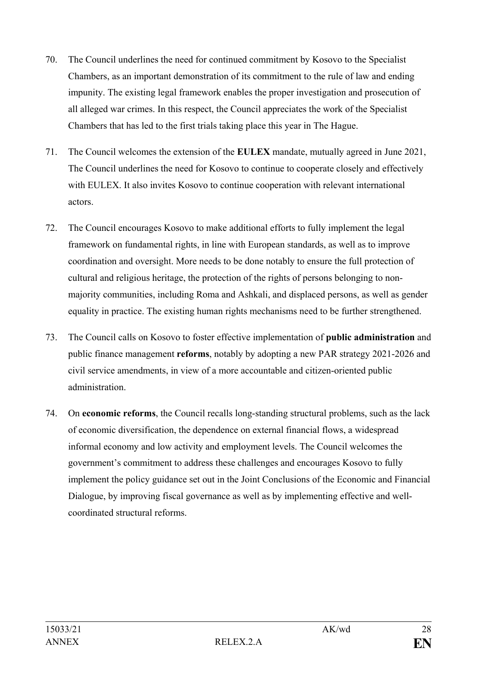- 70. The Council underlines the need for continued commitment by Kosovo to the Specialist Chambers, as an important demonstration of its commitment to the rule of law and ending impunity. The existing legal framework enables the proper investigation and prosecution of all alleged war crimes. In this respect, the Council appreciates the work of the Specialist Chambers that has led to the first trials taking place this year in The Hague.
- 71. The Council welcomes the extension of the **EULEX** mandate, mutually agreed in June 2021, The Council underlines the need for Kosovo to continue to cooperate closely and effectively with EULEX. It also invites Kosovo to continue cooperation with relevant international actors.
- 72. The Council encourages Kosovo to make additional efforts to fully implement the legal framework on fundamental rights, in line with European standards, as well as to improve coordination and oversight. More needs to be done notably to ensure the full protection of cultural and religious heritage, the protection of the rights of persons belonging to nonmajority communities, including Roma and Ashkali, and displaced persons, as well as gender equality in practice. The existing human rights mechanisms need to be further strengthened.
- 73. The Council calls on Kosovo to foster effective implementation of **public administration** and public finance management **reforms**, notably by adopting a new PAR strategy 2021-2026 and civil service amendments, in view of a more accountable and citizen-oriented public administration.
- 74. On **economic reforms**, the Council recalls long-standing structural problems, such as the lack of economic diversification, the dependence on external financial flows, a widespread informal economy and low activity and employment levels. The Council welcomes the government's commitment to address these challenges and encourages Kosovo to fully implement the policy guidance set out in the Joint Conclusions of the Economic and Financial Dialogue, by improving fiscal governance as well as by implementing effective and wellcoordinated structural reforms.